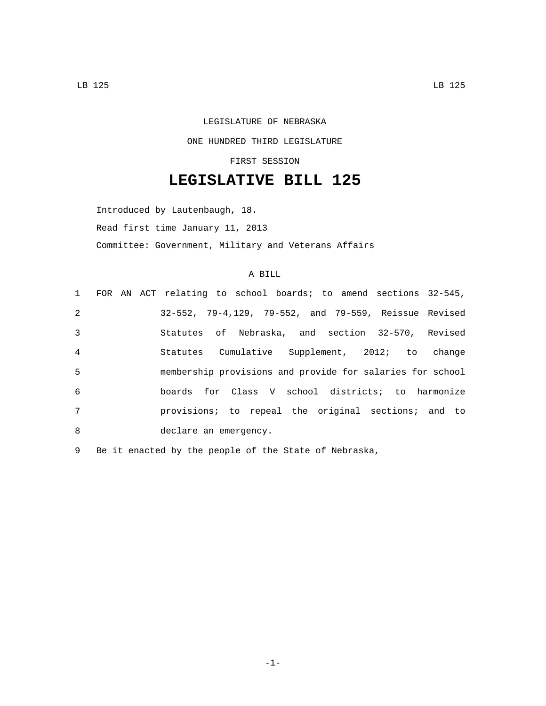## LEGISLATURE OF NEBRASKA ONE HUNDRED THIRD LEGISLATURE FIRST SESSION

## **LEGISLATIVE BILL 125**

Introduced by Lautenbaugh, 18. Read first time January 11, 2013 Committee: Government, Military and Veterans Affairs

## A BILL

|                |  | 1 FOR AN ACT relating to school boards; to amend sections 32-545, |
|----------------|--|-------------------------------------------------------------------|
| 2              |  | 32-552, 79-4,129, 79-552, and 79-559, Reissue Revised             |
| $\mathbf{3}$   |  | Statutes of Nebraska, and section 32-570, Revised                 |
| $\overline{4}$ |  | Statutes Cumulative Supplement, 2012; to change                   |
| 5              |  | membership provisions and provide for salaries for school         |
| 6              |  | boards for Class V school districts; to harmonize                 |
| 7              |  | provisions; to repeal the original sections; and to               |
| 8              |  | declare an emergency.                                             |

9 Be it enacted by the people of the State of Nebraska,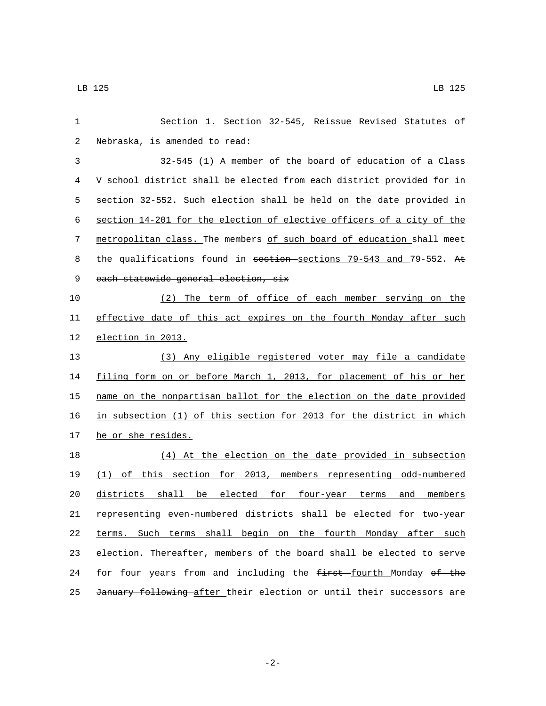| 1  | Section 1. Section 32-545, Reissue Revised Statutes of                |
|----|-----------------------------------------------------------------------|
| 2  | Nebraska, is amended to read:                                         |
| 3  | $32-545$ (1) A member of the board of education of a Class            |
| 4  | V school district shall be elected from each district provided for in |
| 5  | section 32-552. Such election shall be held on the date provided in   |
| 6  | section 14-201 for the election of elective officers of a city of the |
| 7  | metropolitan class. The members of such board of education shall meet |
| 8  | the qualifications found in section-sections 79-543 and 79-552. At    |
| 9  | each statewide general election, six                                  |
| 10 | The term of office of each member serving on the<br>(2)               |
| 11 | effective date of this act expires on the fourth Monday after such    |
| 12 | election in 2013.                                                     |
| 13 | (3) Any eligible registered voter may file a candidate                |
| 14 | filing form on or before March 1, 2013, for placement of his or her   |
| 15 | name on the nonpartisan ballot for the election on the date provided  |
| 16 | in subsection (1) of this section for 2013 for the district in which  |
| 17 | he or she resides.                                                    |
| 18 | (4) At the election on the date provided in subsection                |
| 19 | (1) of this section for 2013, members representing odd-numbered       |
| 20 | districts shall be elected for four-year terms<br>members<br>and      |
| 21 | representing even-numbered districts shall be elected for two-year    |
| 22 | terms. Such terms shall begin on the fourth Monday after such         |
| 23 | election. Thereafter, members of the board shall be elected to serve  |
| 24 | for four years from and including the first fourth Monday of the      |
| 25 | January following after their election or until their successors are  |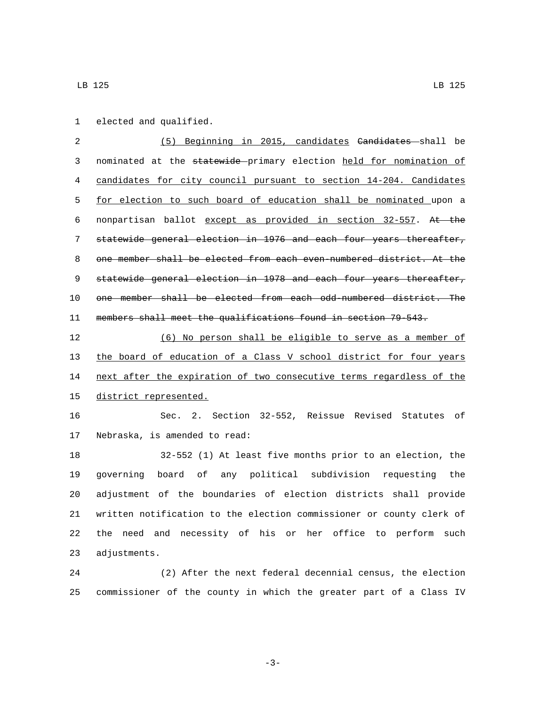1 elected and qualified.

 (5) Beginning in 2015, candidates Candidates shall be nominated at the statewide primary election held for nomination of candidates for city council pursuant to section 14-204. Candidates for election to such board of education shall be nominated upon a nonpartisan ballot except as provided in section 32-557. At the statewide general election in 1976 and each four years thereafter, one member shall be elected from each even-numbered district. At the 9 statewide general election in 1978 and each four years thereafter, one member shall be elected from each odd-numbered district. The members shall meet the qualifications found in section 79-543.

 (6) No person shall be eligible to serve as a member of the board of education of a Class V school district for four years 14 next after the expiration of two consecutive terms regardless of the 15 district represented.

 Sec. 2. Section 32-552, Reissue Revised Statutes of 17 Nebraska, is amended to read:

 32-552 (1) At least five months prior to an election, the governing board of any political subdivision requesting the adjustment of the boundaries of election districts shall provide written notification to the election commissioner or county clerk of the need and necessity of his or her office to perform such 23 adjustments.

 (2) After the next federal decennial census, the election commissioner of the county in which the greater part of a Class IV

-3-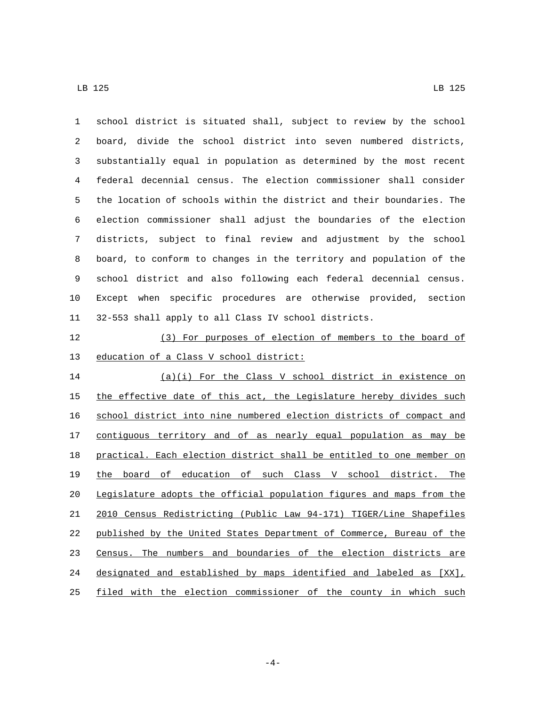| $\mathbf{1}$ | school district is situated shall, subject to review by the school    |
|--------------|-----------------------------------------------------------------------|
| 2            | board, divide the school district into seven numbered districts,      |
| 3            | substantially equal in population as determined by the most recent    |
| 4            | federal decennial census. The election commissioner shall consider    |
| 5            | the location of schools within the district and their boundaries. The |
| 6            | election commissioner shall adjust the boundaries of the election     |
| 7            | districts, subject to final review and adjustment by the school       |
| 8            | board, to conform to changes in the territory and population of the   |
| 9            | school district and also following each federal decennial census.     |
| $10\,$       | Except when specific procedures are otherwise provided, section       |
| 11           | 32-553 shall apply to all Class IV school districts.                  |
| 12           | (3) For purposes of election of members to the board of               |
| 13           | education of a Class V school district:                               |
| 14           | (a)(i) For the Class V school district in existence on                |
| 15           | the effective date of this act, the Legislature hereby divides such   |
| 16           | school district into nine numbered election districts of compact and  |
| 17           | contiguous territory and of as nearly equal population as may be      |
| 18           | practical. Each election district shall be entitled to one member on  |
| 19           | the board of education of such Class V school district. The           |
| 20           | Legislature adopts the official population figures and maps from the  |
| 21           | 2010 Census Redistricting (Public Law 94-171) TIGER/Line Shapefiles   |
| 22           | published by the United States Department of Commerce, Bureau of the  |
| 23           | Census. The numbers and boundaries of the election districts are      |
| 24           | designated and established by maps identified and labeled as [XX],    |
| 25           | filed with the election commissioner of the county in which such      |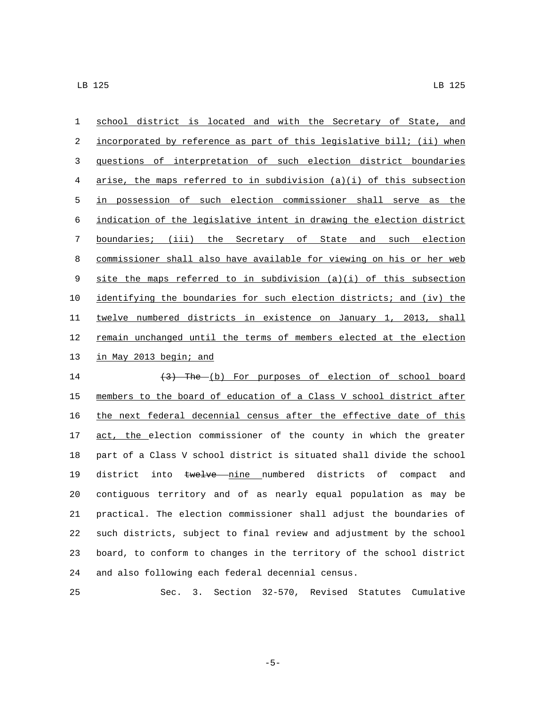school district is located and with the Secretary of State, and incorporated by reference as part of this legislative bill; (ii) when questions of interpretation of such election district boundaries arise, the maps referred to in subdivision (a)(i) of this subsection in possession of such election commissioner shall serve as the indication of the legislative intent in drawing the election district boundaries; (iii) the Secretary of State and such election commissioner shall also have available for viewing on his or her web site the maps referred to in subdivision (a)(i) of this subsection identifying the boundaries for such election districts; and (iv) the twelve numbered districts in existence on January 1, 2013, shall 12 remain unchanged until the terms of members elected at the election 13 in May 2013 begin; and 14 (3) The (b) For purposes of election of school board

 members to the board of education of a Class V school district after the next federal decennial census after the effective date of this 17 act, the election commissioner of the county in which the greater part of a Class V school district is situated shall divide the school 19 district into twelve nine numbered districts of compact and contiguous territory and of as nearly equal population as may be practical. The election commissioner shall adjust the boundaries of such districts, subject to final review and adjustment by the school board, to conform to changes in the territory of the school district 24 and also following each federal decennial census.

Sec. 3. Section 32-570, Revised Statutes Cumulative

-5-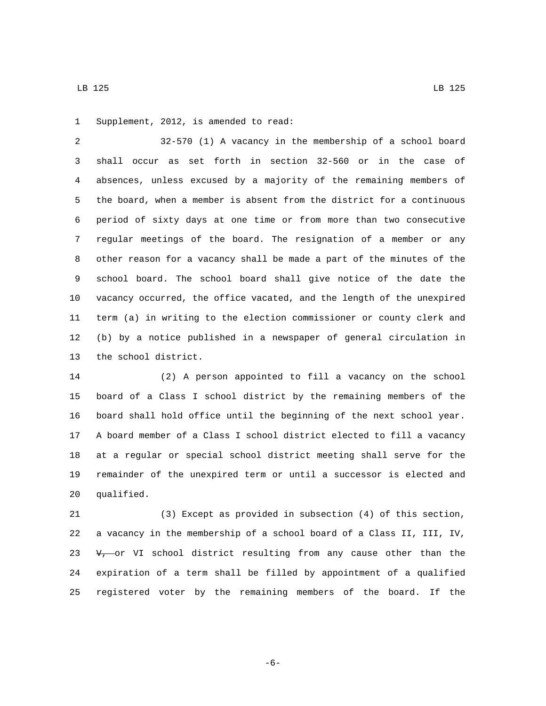1 Supplement, 2012, is amended to read:

 32-570 (1) A vacancy in the membership of a school board shall occur as set forth in section 32-560 or in the case of absences, unless excused by a majority of the remaining members of the board, when a member is absent from the district for a continuous period of sixty days at one time or from more than two consecutive regular meetings of the board. The resignation of a member or any other reason for a vacancy shall be made a part of the minutes of the school board. The school board shall give notice of the date the vacancy occurred, the office vacated, and the length of the unexpired term (a) in writing to the election commissioner or county clerk and (b) by a notice published in a newspaper of general circulation in 13 the school district.

 (2) A person appointed to fill a vacancy on the school board of a Class I school district by the remaining members of the board shall hold office until the beginning of the next school year. A board member of a Class I school district elected to fill a vacancy at a regular or special school district meeting shall serve for the remainder of the unexpired term or until a successor is elected and 20 qualified.

 (3) Except as provided in subsection (4) of this section, a vacancy in the membership of a school board of a Class II, III, IV,  $v_{\tau}$  or VI school district resulting from any cause other than the expiration of a term shall be filled by appointment of a qualified registered voter by the remaining members of the board. If the

-6-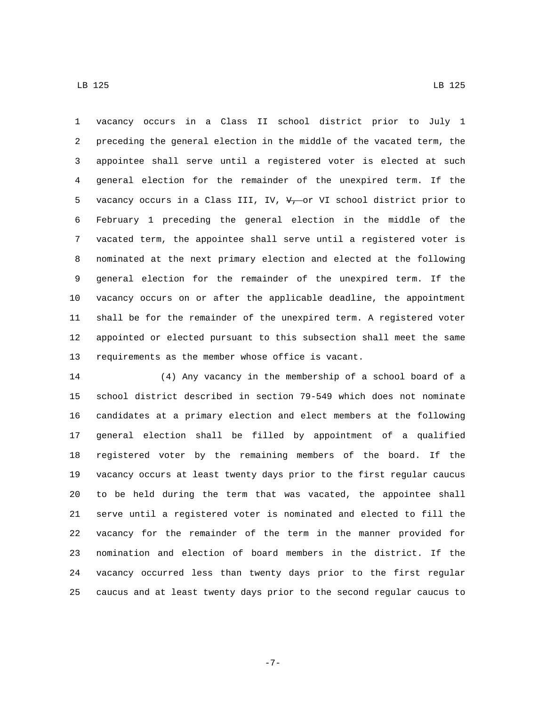vacancy occurs in a Class II school district prior to July 1 preceding the general election in the middle of the vacated term, the appointee shall serve until a registered voter is elected at such general election for the remainder of the unexpired term. If the 5 vacancy occurs in a Class III, IV,  $V_{\tau}$  or VI school district prior to February 1 preceding the general election in the middle of the vacated term, the appointee shall serve until a registered voter is nominated at the next primary election and elected at the following general election for the remainder of the unexpired term. If the vacancy occurs on or after the applicable deadline, the appointment shall be for the remainder of the unexpired term. A registered voter appointed or elected pursuant to this subsection shall meet the same requirements as the member whose office is vacant.

 (4) Any vacancy in the membership of a school board of a school district described in section 79-549 which does not nominate candidates at a primary election and elect members at the following general election shall be filled by appointment of a qualified registered voter by the remaining members of the board. If the vacancy occurs at least twenty days prior to the first regular caucus to be held during the term that was vacated, the appointee shall serve until a registered voter is nominated and elected to fill the vacancy for the remainder of the term in the manner provided for nomination and election of board members in the district. If the vacancy occurred less than twenty days prior to the first regular caucus and at least twenty days prior to the second regular caucus to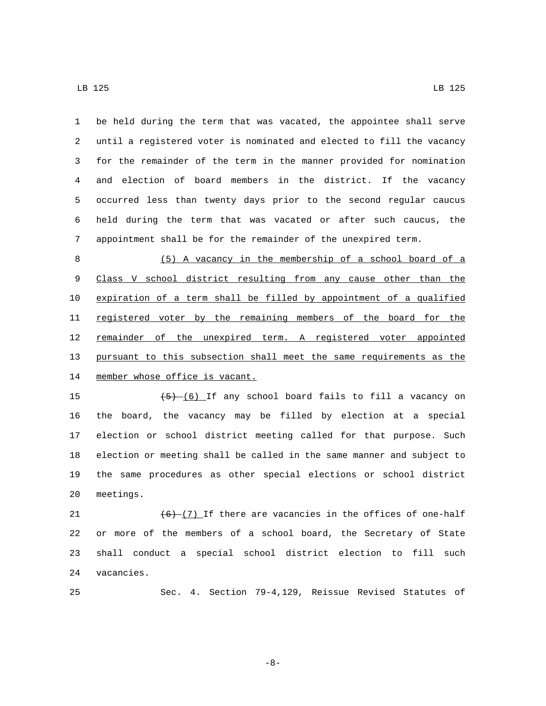be held during the term that was vacated, the appointee shall serve until a registered voter is nominated and elected to fill the vacancy for the remainder of the term in the manner provided for nomination and election of board members in the district. If the vacancy occurred less than twenty days prior to the second regular caucus held during the term that was vacated or after such caucus, the appointment shall be for the remainder of the unexpired term.

 (5) A vacancy in the membership of a school board of a Class V school district resulting from any cause other than the expiration of a term shall be filled by appointment of a qualified 11 registered voter by the remaining members of the board for the 12 remainder of the unexpired term. A registered voter appointed pursuant to this subsection shall meet the same requirements as the 14 member whose office is vacant.

 $\left(5\right)$   $\left(6\right)$  If any school board fails to fill a vacancy on the board, the vacancy may be filled by election at a special election or school district meeting called for that purpose. Such election or meeting shall be called in the same manner and subject to the same procedures as other special elections or school district 20 meetings.

 $(6)$   $(7)$  If there are vacancies in the offices of one-half or more of the members of a school board, the Secretary of State shall conduct a special school district election to fill such 24 vacancies.

Sec. 4. Section 79-4,129, Reissue Revised Statutes of

-8-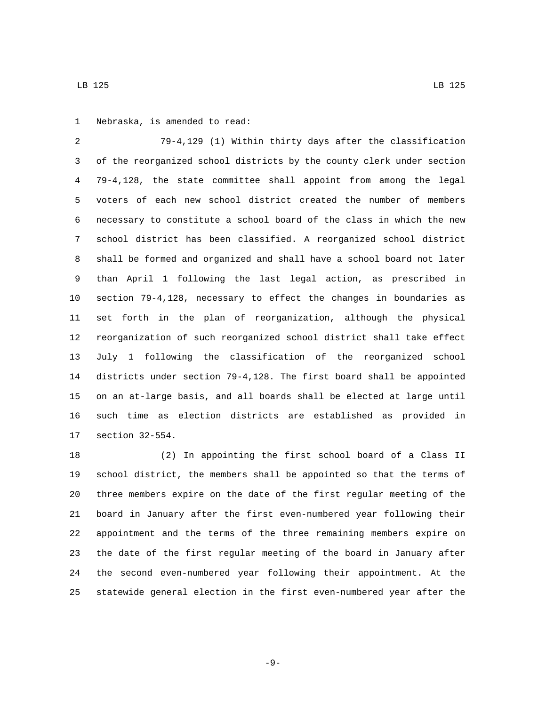1 Nebraska, is amended to read:

 79-4,129 (1) Within thirty days after the classification of the reorganized school districts by the county clerk under section 79-4,128, the state committee shall appoint from among the legal voters of each new school district created the number of members necessary to constitute a school board of the class in which the new school district has been classified. A reorganized school district shall be formed and organized and shall have a school board not later than April 1 following the last legal action, as prescribed in section 79-4,128, necessary to effect the changes in boundaries as set forth in the plan of reorganization, although the physical reorganization of such reorganized school district shall take effect July 1 following the classification of the reorganized school districts under section 79-4,128. The first board shall be appointed on an at-large basis, and all boards shall be elected at large until such time as election districts are established as provided in 17 section 32-554.

 (2) In appointing the first school board of a Class II school district, the members shall be appointed so that the terms of three members expire on the date of the first regular meeting of the board in January after the first even-numbered year following their appointment and the terms of the three remaining members expire on the date of the first regular meeting of the board in January after the second even-numbered year following their appointment. At the statewide general election in the first even-numbered year after the

-9-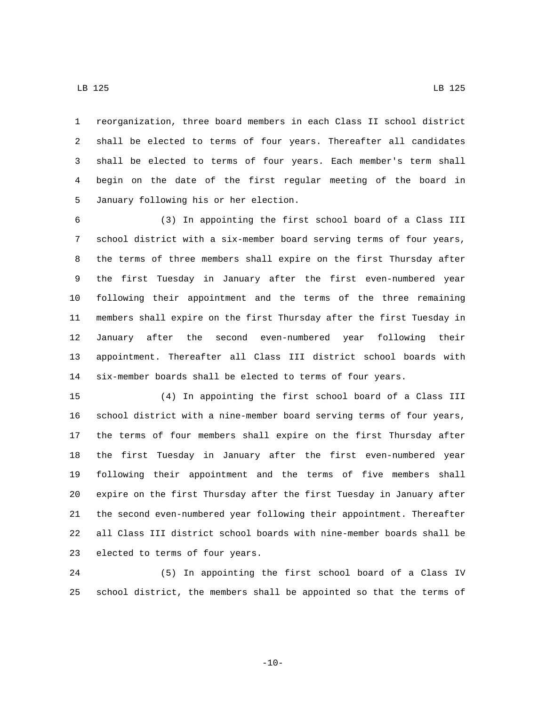reorganization, three board members in each Class II school district shall be elected to terms of four years. Thereafter all candidates shall be elected to terms of four years. Each member's term shall begin on the date of the first regular meeting of the board in January following his or her election.5

 (3) In appointing the first school board of a Class III school district with a six-member board serving terms of four years, the terms of three members shall expire on the first Thursday after the first Tuesday in January after the first even-numbered year following their appointment and the terms of the three remaining members shall expire on the first Thursday after the first Tuesday in January after the second even-numbered year following their appointment. Thereafter all Class III district school boards with six-member boards shall be elected to terms of four years.

 (4) In appointing the first school board of a Class III school district with a nine-member board serving terms of four years, the terms of four members shall expire on the first Thursday after the first Tuesday in January after the first even-numbered year following their appointment and the terms of five members shall expire on the first Thursday after the first Tuesday in January after the second even-numbered year following their appointment. Thereafter all Class III district school boards with nine-member boards shall be 23 elected to terms of four years.

 (5) In appointing the first school board of a Class IV school district, the members shall be appointed so that the terms of

 $-10-$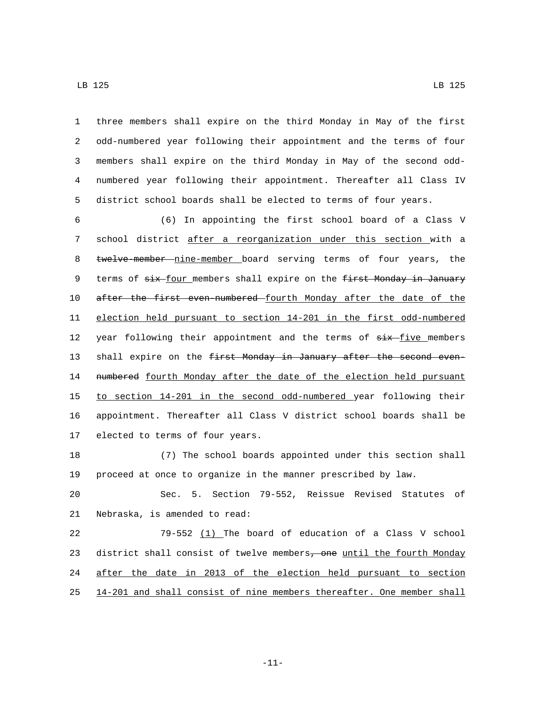three members shall expire on the third Monday in May of the first odd-numbered year following their appointment and the terms of four members shall expire on the third Monday in May of the second odd- numbered year following their appointment. Thereafter all Class IV district school boards shall be elected to terms of four years.

6 (6) In appointing the first school board of a Class V 7 school district after a reorganization under this section with a 8 twelve-member nine-member board serving terms of four years, the 9 terms of six-four members shall expire on the first Monday in January 10 after the first even numbered fourth Monday after the date of the 11 election held pursuant to section 14-201 in the first odd-numbered 12 year following their appointment and the terms of  $six$ -five members 13 shall expire on the first Monday in January after the second even-14 numbered fourth Monday after the date of the election held pursuant 15 to section 14-201 in the second odd-numbered year following their 16 appointment. Thereafter all Class V district school boards shall be 17 elected to terms of four years.

18 (7) The school boards appointed under this section shall 19 proceed at once to organize in the manner prescribed by law.

20 Sec. 5. Section 79-552, Reissue Revised Statutes of 21 Nebraska, is amended to read:

 79-552 (1) The board of education of a Class V school 23 district shall consist of twelve members, one until the fourth Monday after the date in 2013 of the election held pursuant to section 14-201 and shall consist of nine members thereafter. One member shall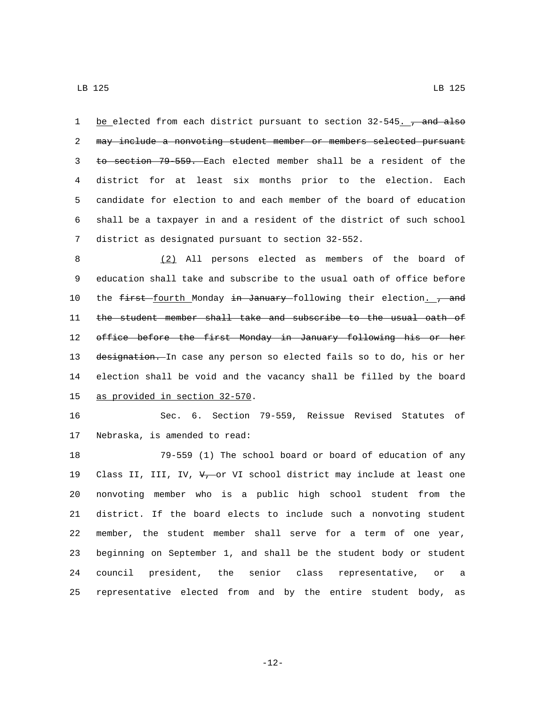1 be elected from each district pursuant to section 32-545. , and also may include a nonvoting student member or members selected pursuant to section 79-559. Each elected member shall be a resident of the district for at least six months prior to the election. Each candidate for election to and each member of the board of education shall be a taxpayer in and a resident of the district of such school 7 district as designated pursuant to section 32-552.

 (2) All persons elected as members of the board of education shall take and subscribe to the usual oath of office before 10 the first fourth Monday in January following their election. 7 and the student member shall take and subscribe to the usual oath of office before the first Monday in January following his or her 13 designation. In case any person so elected fails so to do, his or her election shall be void and the vacancy shall be filled by the board 15 as provided in section 32-570.

 Sec. 6. Section 79-559, Reissue Revised Statutes of 17 Nebraska, is amended to read:

 79-559 (1) The school board or board of education of any 19 Class II, III, IV,  $V_{\tau}$  or VI school district may include at least one nonvoting member who is a public high school student from the district. If the board elects to include such a nonvoting student member, the student member shall serve for a term of one year, beginning on September 1, and shall be the student body or student council president, the senior class representative, or a representative elected from and by the entire student body, as

-12-